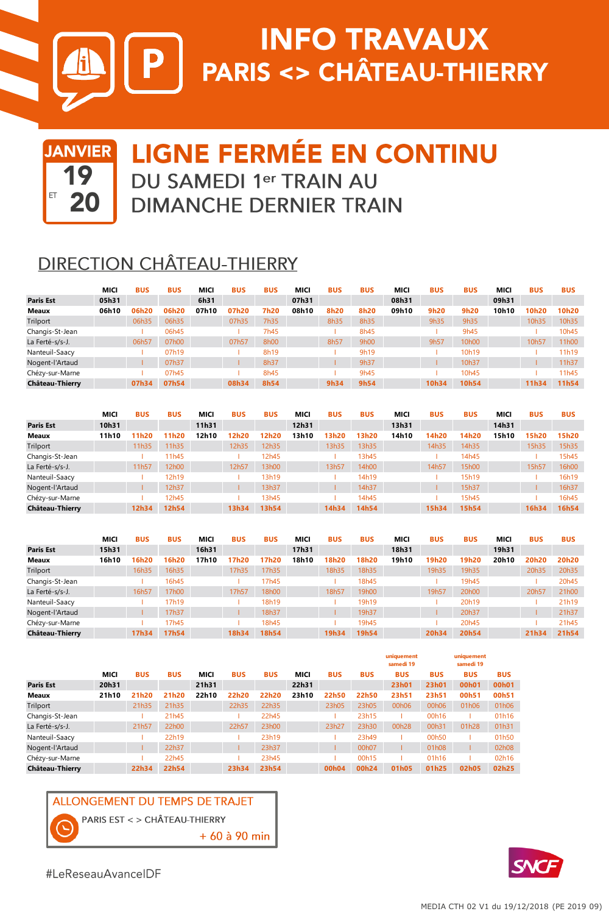

# **INFO TRAVAUX** P | PARIS <> CHÂTEAU-THIERRY



## **LIGNE FERMÉE EN CONTINU** DU SAMEDI 1er TRAIN AU **DIMANCHE DERNIER TRAIN**

### **DIRECTION CHÂTEAU-THIERRY**

|                  | MICI  | <b>BUS</b> | <b>BUS</b> | MICI  | <b>BUS</b> | <b>BUS</b> | MICI  | <b>BUS</b> | <b>BUS</b> | MICI  | <b>BUS</b> | <b>BUS</b> | <b>MICI</b> | <b>BUS</b> | <b>BUS</b> |
|------------------|-------|------------|------------|-------|------------|------------|-------|------------|------------|-------|------------|------------|-------------|------------|------------|
| <b>Paris Est</b> | 05h31 |            |            | 6h31  |            |            | 07h31 |            |            | 08h31 |            |            | 09h31       |            |            |
| Meaux            | 06h10 | 06h20      | 06h20      | 07h10 | 07h20      | 7h20       | 08h10 | 8h20       | 8h20       | 09h10 | 9h20       | 9h20       | 10h10       | 10h20      | 10h20      |
| Trilport         |       | 06h35      | 06h35      |       | 07h35      | 7h35       |       | 8h35       | 8h35       |       | 9h35       | 9h35       |             | 10h35      | 10h35      |
| Changis-St-Jean  |       |            | 06h45      |       |            | 7h45       |       |            | 8h45       |       |            | 9h45       |             |            | 10h45      |
| La Ferté-s/s-J.  |       | 06h57      | 07h00      |       | 07h57      | 8h00       |       | 8h57       | 9h00       |       | 9h57       | 10h00      |             | 10h57      | 11h00      |
| Nanteuil-Saacy   |       |            | 07h19      |       |            | 8h19       |       |            | 9h19       |       |            | 10h19      |             |            | 11h19      |
| Nogent-l'Artaud  |       |            | 07h37      |       |            | 8h37       |       |            | 9h37       |       |            | 10h37      |             |            | 11h37      |
| Chézy-sur-Marne  |       |            | 07h45      |       |            | 8h45       |       |            | 9h45       |       |            | 10h45      |             |            | 11h45      |
| Château-Thierry  |       | 07h34      | 07h54      |       | 08h34      | 8h54       |       | 9h34       | 9h54       |       | 10h34      | 10h54      |             | 11h34      | 11h54      |

|                  | MICI  | <b>BUS</b> | <b>BUS</b> | <b>MICI</b> | <b>BUS</b> | <b>BUS</b> | <b>MICI</b> | <b>BUS</b> | <b>BUS</b> | MICI  | <b>BUS</b> | <b>BUS</b> | MICI  | <b>BUS</b> | <b>BUS</b> |
|------------------|-------|------------|------------|-------------|------------|------------|-------------|------------|------------|-------|------------|------------|-------|------------|------------|
| <b>Paris Est</b> | 10h31 |            |            | 11h31       |            |            | 12h31       |            |            | 13h31 |            |            | 14h31 |            |            |
| Meaux            | 11h10 | 11h20      | 1h20       | 12h10       | 12h20      | 12h20      | 13h10       | 13h20      | 13h20      | 14h10 | 14h20      | 14h20      | 15h10 | 15h20      | 15h20      |
| Trilport         |       | 11h35      | 11h35      |             | 12h35      | 12h35      |             | 13h35      | 13h35      |       | 14h35      | 14h35      |       | 15h35      | 15h35      |
| Changis-St-Jean  |       |            | 11h45      |             |            | 12h45      |             |            | 13h45      |       |            | 14h45      |       |            | 15h45      |
| La Ferté-s/s-J.  |       | 11h57      | 12h00      |             | 12h57      | 13h00      |             | 13h57      | 14h00      |       | 14h57      | 15h00      |       | 15h57      | 16h00      |
| Nanteuil-Saacy   |       |            | 12h19      |             |            | 13h19      |             |            | 14h19      |       |            | 15h19      |       |            | 16h19      |
| Nogent-l'Artaud  |       |            | 12h37      |             |            | 13h37      |             |            | 14h37      |       |            | 15h37      |       |            | 16h37      |
| Chézy-sur-Marne  |       |            | 12h45      |             |            | 13h45      |             |            | 14h45      |       |            | 15h45      |       |            | 16h45      |
| Château-Thierry  |       | 12h34      | 12h54      |             | 13h34      | 13h54      |             | 14h34      | 14h54      |       | 15h34      | 15h54      |       | 16h34      | 16h54      |

|                        | MICI  | <b>BUS</b> | <b>BUS</b> | MICI  | <b>BUS</b> | <b>BUS</b> | MICI  | <b>BUS</b> | <b>BUS</b> | MICI  | <b>BUS</b> | <b>BUS</b> | <b>MICI</b> | <b>BUS</b> | <b>BUS</b> |
|------------------------|-------|------------|------------|-------|------------|------------|-------|------------|------------|-------|------------|------------|-------------|------------|------------|
| <b>Paris Est</b>       | 15h31 |            |            | 16h31 |            |            | 17h31 |            |            | 18h31 |            |            | 19h31       |            |            |
| Meaux                  | 16h10 | 16h20      | 16h20      | 17h10 | 17h20      | 17h20      | 18h10 | 18h20      | 18h20      | 19h10 | 19h20      | 19h20      | 20h10       | 20h20      | 20h20      |
| Trilport               |       | 16h35      | 16h35      |       | 17h35      | 17h35      |       | 18h35      | 18h35      |       | 19h35      | 19h35      |             | 20h35      | 20h35      |
| Changis-St-Jean        |       |            | 16h45      |       |            | 17h45      |       |            | 18h45      |       |            | 19h45      |             |            | 20h45      |
| La Ferté-s/s-J.        |       | 16h57      | 17h00      |       | 17h57      | 18h00      |       | 18h57      | 19h00      |       | 19h57      | 20h00      |             | 20h57      | 21h00      |
| Nanteuil-Saacy         |       |            | 17h19      |       |            | 18h19      |       |            | 19h19      |       |            | 20h19      |             |            | 21h19      |
| Nogent-l'Artaud        |       |            | 17h37      |       |            | 18h37      |       |            | 19h37      |       |            | 20h37      |             |            | 21h37      |
| Chézy-sur-Marne        |       |            | 17h45      |       |            | 18h45      |       |            | 19h45      |       |            | 20h45      |             |            | 21h45      |
| <b>Château-Thierry</b> |       | 17h34      | 17h54      |       | 18h34      | 18h54      |       | 19h34      | 19h54      |       | 20h34      | 20h54      |             | 21h34      | 21h54      |

|                  |       |            |            |             |            |            |             |                   |                    | uniquement<br>samedi 19 |            | uniquement<br>samedi 19 |            |
|------------------|-------|------------|------------|-------------|------------|------------|-------------|-------------------|--------------------|-------------------------|------------|-------------------------|------------|
|                  | MICI  | <b>BUS</b> | <b>BUS</b> | <b>MICI</b> | <b>BUS</b> | <b>BUS</b> | <b>MICI</b> | <b>BUS</b>        | <b>BUS</b>         | <b>BUS</b>              | <b>BUS</b> | <b>BUS</b>              | <b>BUS</b> |
| <b>Paris Est</b> | 20h31 |            |            | 21h31       |            |            | 22h31       |                   |                    | 23h01                   | 23h01      | 00h01                   | 00h01      |
| Meaux            | 21h10 | 21h20      | 21h20      | 22h10       | 22h20      | 22h20      | 23h10       | 22h50             | 22h50              | 23h51                   | 23h51      | 00h51                   | 00h51      |
| Trilport         |       | 21h35      | 21h35      |             | 22h35      | 22h35      |             | 23h05             | 23h05              | 00h06                   | 00h06      | 01h06                   | 01h06      |
| Changis-St-Jean  |       |            | 21h45      |             |            | 22h45      |             |                   | 23h15              |                         | 00h16      |                         | 01h16      |
| La Ferté-s/s-J.  |       | 21h57      | 22h00      |             | 22h57      | 23h00      |             | 23h27             | 23h30              | 00h28                   | 00h31      | 01h28                   | 01h31      |
| Nanteuil-Saacy   |       |            | 22h19      |             |            | 23h19      |             |                   | 23h49              |                         | 00h50      |                         | 01h50      |
| Nogent-l'Artaud  |       |            | 22h37      |             |            | 23h37      |             |                   | 00 <sub>h</sub> 07 |                         | 01h08      |                         | 02h08      |
| Chézy-sur-Marne  |       |            | 22h45      |             |            | 23h45      |             |                   | 00h15              |                         | 01h16      |                         | 02h16      |
| Château-Thierry  |       | 22h34      | 22h54      |             | 23h34      | 23h54      |             | 00 <sub>h04</sub> | 00h24              | 01h05                   | 01h25      | 02h05                   | 02h25      |

#### **ALLONGEMENT DU TEMPS DE TRAJET**

PARIS EST < > CHÂTEAU-THIERRY

+ 60 à 90 min